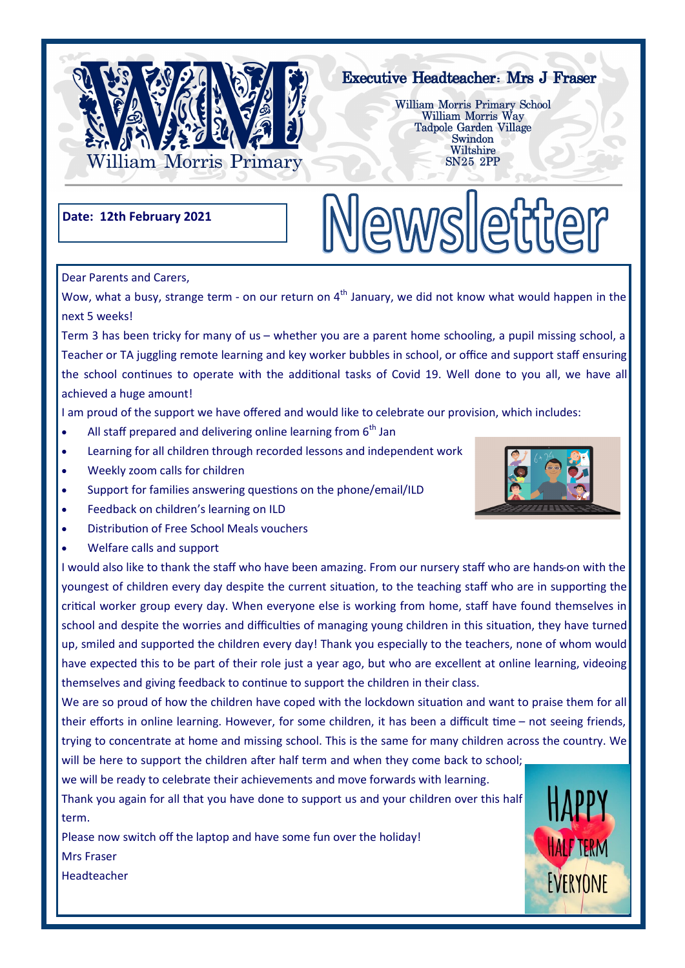

# **Executive Headteacher: Mrs J Fraser**

William Morris Primary School William Morris Way Tadpole Garden Village Swindon Wiltshire **SN25 2PP** 

Newsletter

## **Date: 12th February 2021**

Dear Parents and Carers,

Wow, what a busy, strange term - on our return on  $4<sup>th</sup>$  January, we did not know what would happen in the next 5 weeks!

Term 3 has been tricky for many of us – whether you are a parent home schooling, a pupil missing school, a Teacher or TA juggling remote learning and key worker bubbles in school, or office and support staff ensuring the school continues to operate with the additional tasks of Covid 19. Well done to you all, we have all achieved a huge amount!

I am proud of the support we have offered and would like to celebrate our provision, which includes:

- All staff prepared and delivering online learning from  $6<sup>th</sup>$  Jan
- Learning for all children through recorded lessons and independent work
- Weekly zoom calls for children
- Support for families answering questions on the phone/email/ILD
- Feedback on children's learning on ILD
- Distribution of Free School Meals vouchers
- Welfare calls and support

I would also like to thank the staff who have been amazing. From our nursery staff who are hands-on with the youngest of children every day despite the current situation, to the teaching staff who are in supporting the critical worker group every day. When everyone else is working from home, staff have found themselves in school and despite the worries and difficulties of managing young children in this situation, they have turned up, smiled and supported the children every day! Thank you especially to the teachers, none of whom would have expected this to be part of their role just a year ago, but who are excellent at online learning, videoing themselves and giving feedback to continue to support the children in their class.

We are so proud of how the children have coped with the lockdown situation and want to praise them for all their efforts in online learning. However, for some children, it has been a difficult time – not seeing friends, trying to concentrate at home and missing school. This is the same for many children across the country. We will be here to support the children after half term and when they come back to school;

we will be ready to celebrate their achievements and move forwards with learning.

Thank you again for all that you have done to support us and your children over this half term.

Please now switch off the laptop and have some fun over the holiday!

Mrs Fraser

Headteacher